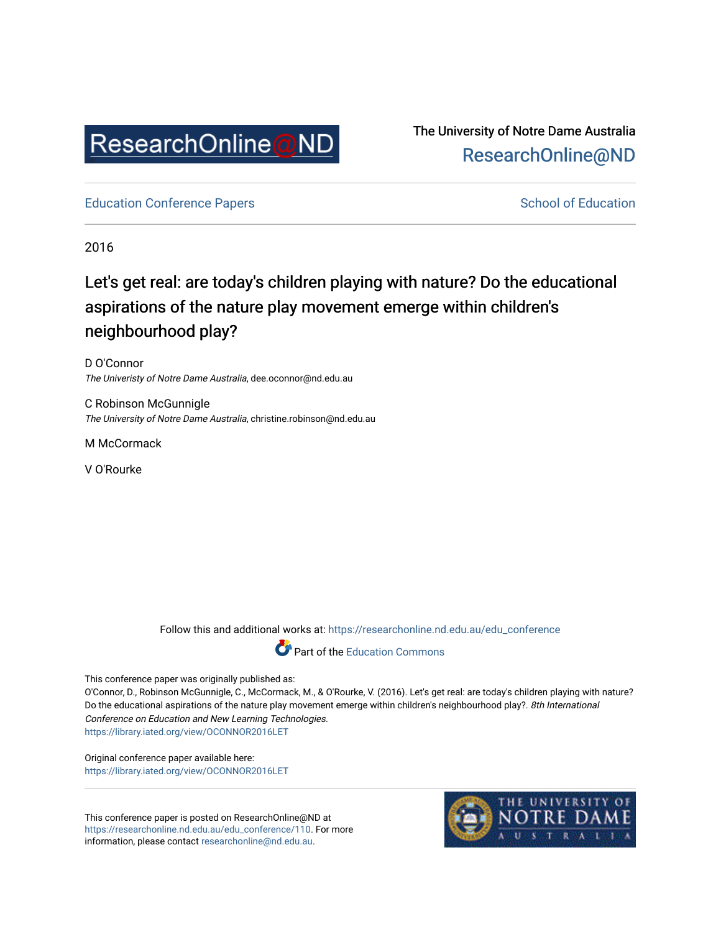

The University of Notre Dame Australia [ResearchOnline@ND](https://researchonline.nd.edu.au/) 

[Education Conference Papers](https://researchonline.nd.edu.au/edu_conference) **School of Education** School of Education

2016

# Let's get real: are today's children playing with nature? Do the educational aspirations of the nature play movement emerge within children's neighbourhood play?

D O'Connor The Univeristy of Notre Dame Australia, dee.oconnor@nd.edu.au

C Robinson McGunnigle The University of Notre Dame Australia, christine.robinson@nd.edu.au

M McCormack

V O'Rourke

Follow this and additional works at: [https://researchonline.nd.edu.au/edu\\_conference](https://researchonline.nd.edu.au/edu_conference?utm_source=researchonline.nd.edu.au%2Fedu_conference%2F110&utm_medium=PDF&utm_campaign=PDFCoverPages)



This conference paper was originally published as:

O'Connor, D., Robinson McGunnigle, C., McCormack, M., & O'Rourke, V. (2016). Let's get real: are today's children playing with nature? Do the educational aspirations of the nature play movement emerge within children's neighbourhood play?. 8th International Conference on Education and New Learning Technologies. <https://library.iated.org/view/OCONNOR2016LET>

Original conference paper available here: <https://library.iated.org/view/OCONNOR2016LET>

This conference paper is posted on ResearchOnline@ND at [https://researchonline.nd.edu.au/edu\\_conference/110](https://researchonline.nd.edu.au/edu_conference/110). For more information, please contact [researchonline@nd.edu.au.](mailto:researchonline@nd.edu.au)

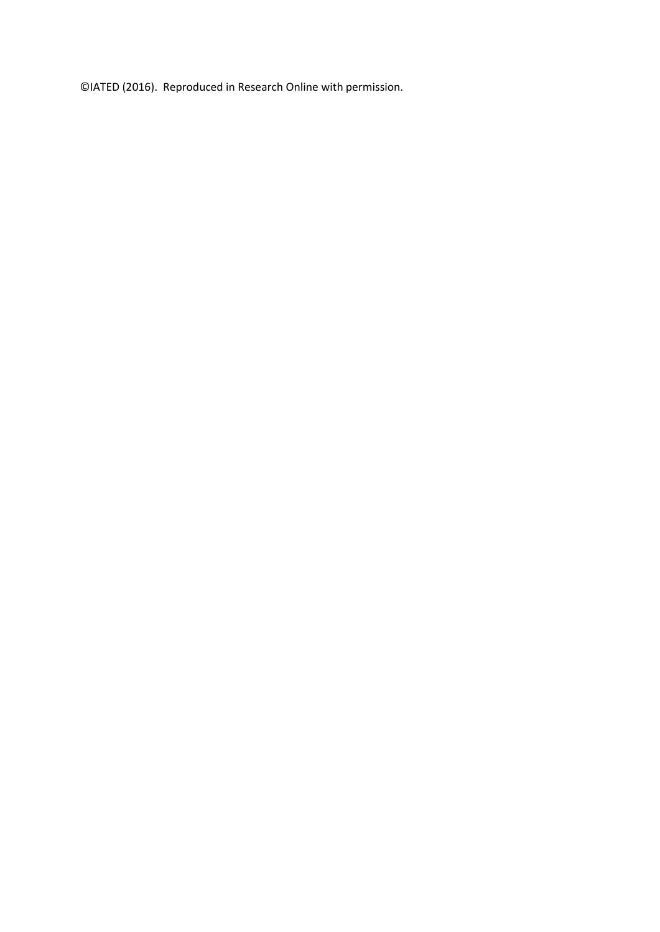©IATED (2016). Reproduced in Research Online with permission.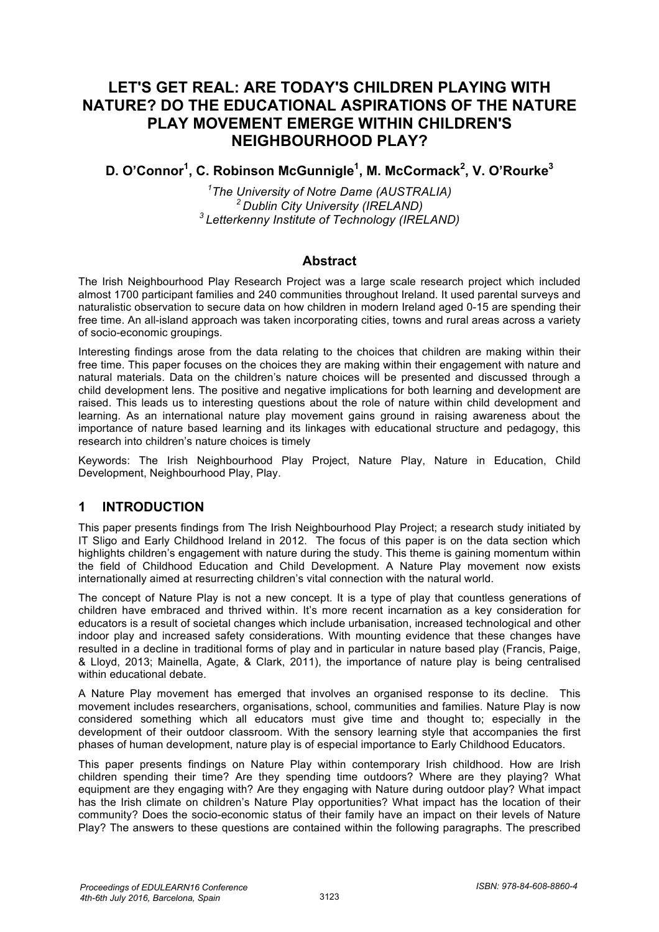# **LET'S GET REAL: ARE TODAY'S CHILDREN PLAYING WITH NATURE? DO THE EDUCATIONAL ASPIRATIONS OF THE NATURE PLAY MOVEMENT EMERGE WITHIN CHILDREN'S NEIGHBOURHOOD PLAY?**

#### **D. O'Connor1 , C. Robinson McGunnigle1 , M. McCormack2 , V. O'Rourke<sup>3</sup>**

*1 The University of Notre Dame (AUSTRALIA) 2 Dublin City University (IRELAND) 3 Letterkenny Institute of Technology (IRELAND)*

#### **Abstract**

The Irish Neighbourhood Play Research Project was a large scale research project which included almost 1700 participant families and 240 communities throughout Ireland. It used parental surveys and naturalistic observation to secure data on how children in modern Ireland aged 0-15 are spending their free time. An all-island approach was taken incorporating cities, towns and rural areas across a variety of socio-economic groupings.

Interesting findings arose from the data relating to the choices that children are making within their free time. This paper focuses on the choices they are making within their engagement with nature and natural materials. Data on the children's nature choices will be presented and discussed through a child development lens. The positive and negative implications for both learning and development are raised. This leads us to interesting questions about the role of nature within child development and learning. As an international nature play movement gains ground in raising awareness about the importance of nature based learning and its linkages with educational structure and pedagogy, this research into children's nature choices is timely

Keywords: The Irish Neighbourhood Play Project, Nature Play, Nature in Education, Child Development, Neighbourhood Play, Play.

#### **1 INTRODUCTION**

This paper presents findings from The Irish Neighbourhood Play Project; a research study initiated by IT Sligo and Early Childhood Ireland in 2012. The focus of this paper is on the data section which highlights children's engagement with nature during the study. This theme is gaining momentum within the field of Childhood Education and Child Development. A Nature Play movement now exists internationally aimed at resurrecting children's vital connection with the natural world.

The concept of Nature Play is not a new concept. It is a type of play that countless generations of children have embraced and thrived within. It's more recent incarnation as a key consideration for educators is a result of societal changes which include urbanisation, increased technological and other indoor play and increased safety considerations. With mounting evidence that these changes have resulted in a decline in traditional forms of play and in particular in nature based play (Francis, Paige, & Lloyd, 2013; Mainella, Agate, & Clark, 2011), the importance of nature play is being centralised within educational debate.

A Nature Play movement has emerged that involves an organised response to its decline. This movement includes researchers, organisations, school, communities and families. Nature Play is now considered something which all educators must give time and thought to; especially in the development of their outdoor classroom. With the sensory learning style that accompanies the first phases of human development, nature play is of especial importance to Early Childhood Educators.

This paper presents findings on Nature Play within contemporary Irish childhood. How are Irish children spending their time? Are they spending time outdoors? Where are they playing? What equipment are they engaging with? Are they engaging with Nature during outdoor play? What impact has the Irish climate on children's Nature Play opportunities? What impact has the location of their community? Does the socio-economic status of their family have an impact on their levels of Nature Play? The answers to these questions are contained within the following paragraphs. The prescribed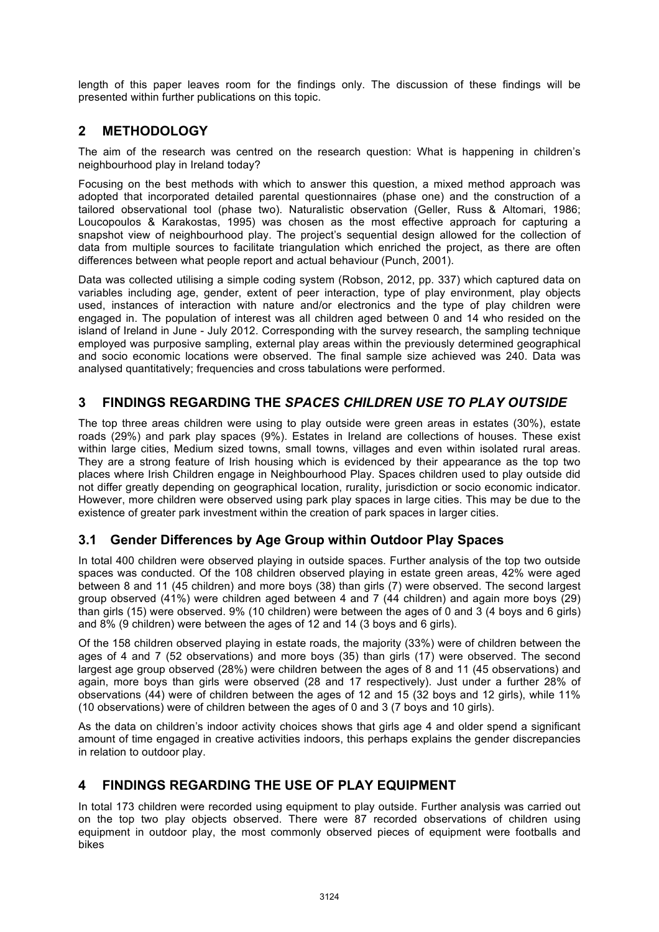length of this paper leaves room for the findings only. The discussion of these findings will be presented within further publications on this topic.

### **2 METHODOLOGY**

The aim of the research was centred on the research question: What is happening in children's neighbourhood play in Ireland today?

Focusing on the best methods with which to answer this question, a mixed method approach was adopted that incorporated detailed parental questionnaires (phase one) and the construction of a tailored observational tool (phase two). Naturalistic observation (Geller, Russ & Altomari, 1986; Loucopoulos & Karakostas, 1995) was chosen as the most effective approach for capturing a snapshot view of neighbourhood play. The project's sequential design allowed for the collection of data from multiple sources to facilitate triangulation which enriched the project, as there are often differences between what people report and actual behaviour (Punch, 2001).

Data was collected utilising a simple coding system (Robson, 2012, pp. 337) which captured data on variables including age, gender, extent of peer interaction, type of play environment, play objects used, instances of interaction with nature and/or electronics and the type of play children were engaged in. The population of interest was all children aged between 0 and 14 who resided on the island of Ireland in June - July 2012. Corresponding with the survey research, the sampling technique employed was purposive sampling, external play areas within the previously determined geographical and socio economic locations were observed. The final sample size achieved was 240. Data was analysed quantitatively; frequencies and cross tabulations were performed.

# **3 FINDINGS REGARDING THE** *SPACES CHILDREN USE TO PLAY OUTSIDE*

The top three areas children were using to play outside were green areas in estates (30%), estate roads (29%) and park play spaces (9%). Estates in Ireland are collections of houses. These exist within large cities, Medium sized towns, small towns, villages and even within isolated rural areas. They are a strong feature of Irish housing which is evidenced by their appearance as the top two places where Irish Children engage in Neighbourhood Play. Spaces children used to play outside did not differ greatly depending on geographical location, rurality, jurisdiction or socio economic indicator. However, more children were observed using park play spaces in large cities. This may be due to the existence of greater park investment within the creation of park spaces in larger cities.

#### **3.1 Gender Differences by Age Group within Outdoor Play Spaces**

In total 400 children were observed playing in outside spaces. Further analysis of the top two outside spaces was conducted. Of the 108 children observed playing in estate green areas, 42% were aged between 8 and 11 (45 children) and more boys (38) than girls (7) were observed. The second largest group observed (41%) were children aged between 4 and 7 (44 children) and again more boys (29) than girls (15) were observed. 9% (10 children) were between the ages of 0 and 3 (4 boys and 6 girls) and 8% (9 children) were between the ages of 12 and 14 (3 boys and 6 girls).

Of the 158 children observed playing in estate roads, the majority (33%) were of children between the ages of 4 and 7 (52 observations) and more boys (35) than girls (17) were observed. The second largest age group observed (28%) were children between the ages of 8 and 11 (45 observations) and again, more boys than girls were observed (28 and 17 respectively). Just under a further 28% of observations (44) were of children between the ages of 12 and 15 (32 boys and 12 girls), while 11% (10 observations) were of children between the ages of 0 and 3 (7 boys and 10 girls).

As the data on children's indoor activity choices shows that girls age 4 and older spend a significant amount of time engaged in creative activities indoors, this perhaps explains the gender discrepancies in relation to outdoor play.

#### **4 FINDINGS REGARDING THE USE OF PLAY EQUIPMENT**

In total 173 children were recorded using equipment to play outside. Further analysis was carried out on the top two play objects observed. There were 87 recorded observations of children using equipment in outdoor play, the most commonly observed pieces of equipment were footballs and bikes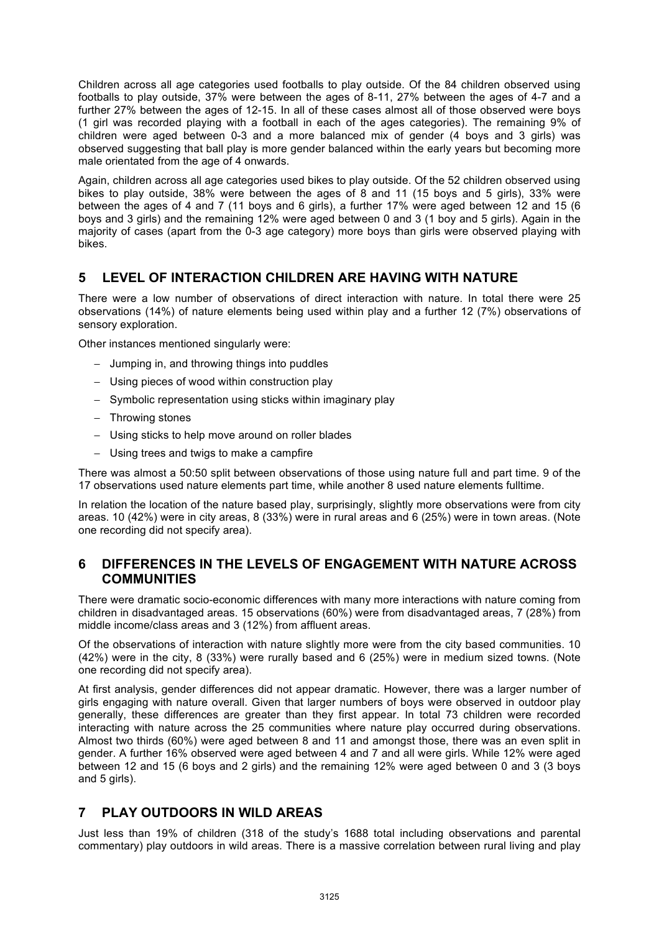Children across all age categories used footballs to play outside. Of the 84 children observed using footballs to play outside, 37% were between the ages of 8-11, 27% between the ages of 4-7 and a further 27% between the ages of 12-15. In all of these cases almost all of those observed were boys (1 girl was recorded playing with a football in each of the ages categories). The remaining 9% of children were aged between 0-3 and a more balanced mix of gender (4 boys and 3 girls) was observed suggesting that ball play is more gender balanced within the early years but becoming more male orientated from the age of 4 onwards.

Again, children across all age categories used bikes to play outside. Of the 52 children observed using bikes to play outside, 38% were between the ages of 8 and 11 (15 boys and 5 girls), 33% were between the ages of 4 and 7 (11 boys and 6 girls), a further 17% were aged between 12 and 15 (6 boys and 3 girls) and the remaining 12% were aged between 0 and 3 (1 boy and 5 girls). Again in the majority of cases (apart from the 0-3 age category) more boys than girls were observed playing with bikes.

#### **5 LEVEL OF INTERACTION CHILDREN ARE HAVING WITH NATURE**

There were a low number of observations of direct interaction with nature. In total there were 25 observations (14%) of nature elements being used within play and a further 12 (7%) observations of sensory exploration.

Other instances mentioned singularly were:

- − Jumping in, and throwing things into puddles
- − Using pieces of wood within construction play
- − Symbolic representation using sticks within imaginary play
- − Throwing stones
- − Using sticks to help move around on roller blades
- − Using trees and twigs to make a campfire

There was almost a 50:50 split between observations of those using nature full and part time. 9 of the 17 observations used nature elements part time, while another 8 used nature elements fulltime.

In relation the location of the nature based play, surprisingly, slightly more observations were from city areas. 10 (42%) were in city areas, 8 (33%) were in rural areas and 6 (25%) were in town areas. (Note one recording did not specify area).

#### **6 DIFFERENCES IN THE LEVELS OF ENGAGEMENT WITH NATURE ACROSS COMMUNITIES**

There were dramatic socio-economic differences with many more interactions with nature coming from children in disadvantaged areas. 15 observations (60%) were from disadvantaged areas, 7 (28%) from middle income/class areas and 3 (12%) from affluent areas.

Of the observations of interaction with nature slightly more were from the city based communities. 10 (42%) were in the city, 8 (33%) were rurally based and 6 (25%) were in medium sized towns. (Note one recording did not specify area).

At first analysis, gender differences did not appear dramatic. However, there was a larger number of girls engaging with nature overall. Given that larger numbers of boys were observed in outdoor play generally, these differences are greater than they first appear. In total 73 children were recorded interacting with nature across the 25 communities where nature play occurred during observations. Almost two thirds (60%) were aged between 8 and 11 and amongst those, there was an even split in gender. A further 16% observed were aged between 4 and 7 and all were girls. While 12% were aged between 12 and 15 (6 boys and 2 girls) and the remaining 12% were aged between 0 and 3 (3 boys and 5 girls).

#### **7 PLAY OUTDOORS IN WILD AREAS**

Just less than 19% of children (318 of the study's 1688 total including observations and parental commentary) play outdoors in wild areas. There is a massive correlation between rural living and play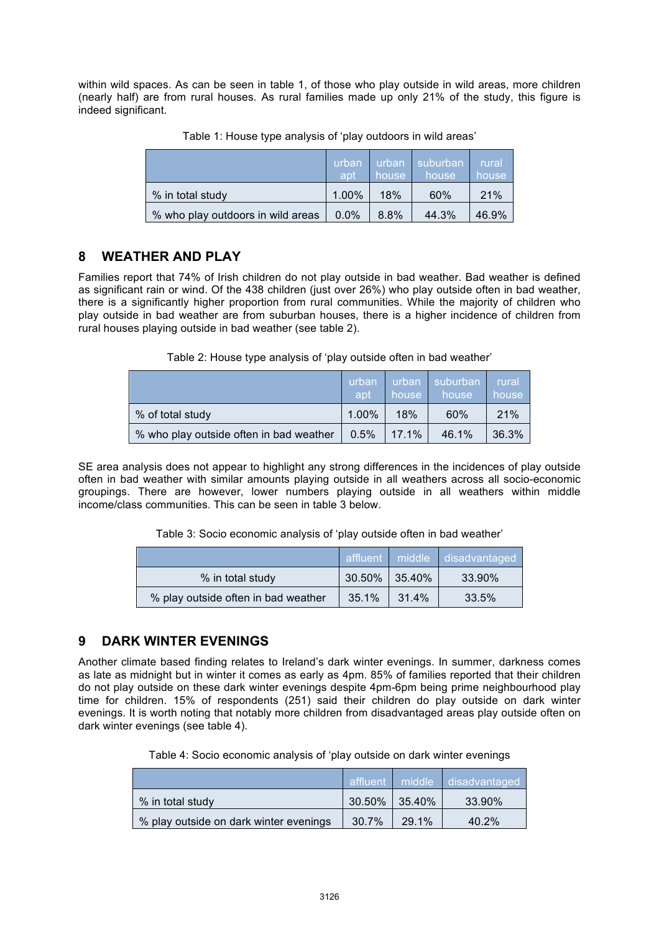within wild spaces. As can be seen in table 1, of those who play outside in wild areas, more children (nearly half) are from rural houses. As rural families made up only 21% of the study, this figure is indeed significant.

|                                   | urban<br>apt | urban<br>house | suburban l<br>house | rural<br>house |
|-----------------------------------|--------------|----------------|---------------------|----------------|
| % in total study                  | 1.00%        | 18%            | 60%                 | 21%            |
| % who play outdoors in wild areas | $0.0\%$      | 8.8%           | 44.3%               | 46.9%          |

Table 1: House type analysis of 'play outdoors in wild areas'

#### **8 WEATHER AND PLAY**

Families report that 74% of Irish children do not play outside in bad weather. Bad weather is defined as significant rain or wind. Of the 438 children (just over 26%) who play outside often in bad weather, there is a significantly higher proportion from rural communities. While the majority of children who play outside in bad weather are from suburban houses, there is a higher incidence of children from rural houses playing outside in bad weather (see table 2).

| Table 2: House type analysis of 'play outside often in bad weather' |  |  |
|---------------------------------------------------------------------|--|--|
|                                                                     |  |  |

|                                         | urban<br>apt | urban<br>house | l suburban<br>house | rural<br>house |
|-----------------------------------------|--------------|----------------|---------------------|----------------|
| % of total study                        | 1.00%        | 18%            | 60%                 | 21%            |
| % who play outside often in bad weather | 0.5%         | 17.1%          | 46.1%               | 36.3%          |

SE area analysis does not appear to highlight any strong differences in the incidences of play outside often in bad weather with similar amounts playing outside in all weathers across all socio-economic groupings. There are however, lower numbers playing outside in all weathers within middle income/class communities. This can be seen in table 3 below.

Table 3: Socio economic analysis of 'play outside often in bad weather'

|                                     | affluent | middle   | disadvantaged |
|-------------------------------------|----------|----------|---------------|
| % in total study                    | 30.50%   | 135.40%  | 33.90%        |
| % play outside often in bad weather | 35.1%    | $31.4\%$ | $33.5\%$      |

# **9 DARK WINTER EVENINGS**

Another climate based finding relates to Ireland's dark winter evenings. In summer, darkness comes as late as midnight but in winter it comes as early as 4pm. 85% of families reported that their children do not play outside on these dark winter evenings despite 4pm-6pm being prime neighbourhood play time for children. 15% of respondents (251) said their children do play outside on dark winter evenings. It is worth noting that notably more children from disadvantaged areas play outside often on dark winter evenings (see table 4).

Table 4: Socio economic analysis of 'play outside on dark winter evenings

|                                        | affluent I middle  |       |        |
|----------------------------------------|--------------------|-------|--------|
| % in total study                       | $30.50\%$   35.40% |       | 33.90% |
| % play outside on dark winter evenings | 30.7%              | 29.1% | 40.2%  |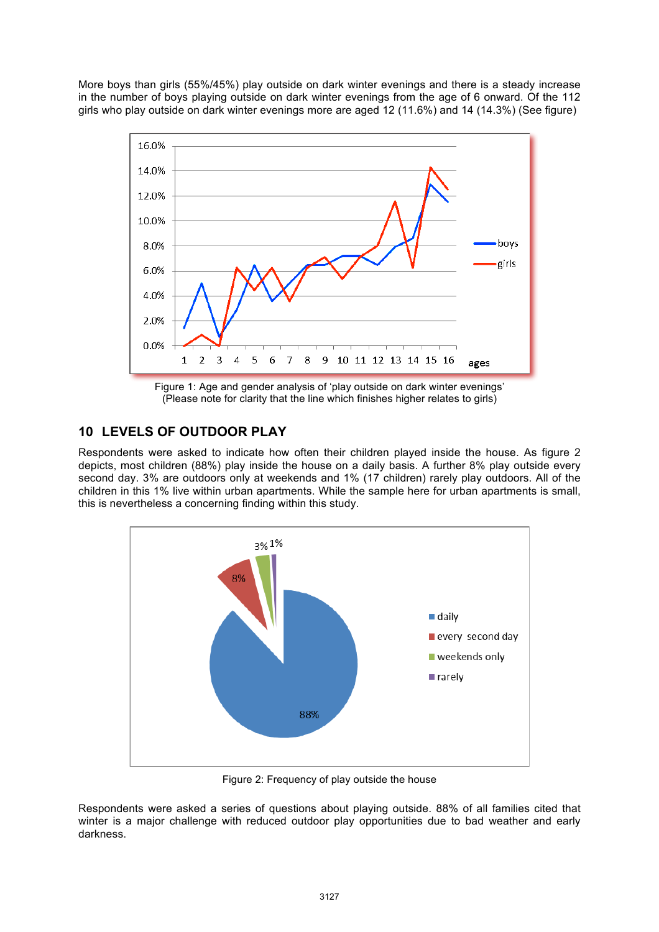More boys than girls (55%/45%) play outside on dark winter evenings and there is a steady increase in the number of boys playing outside on dark winter evenings from the age of 6 onward. Of the 112 girls who play outside on dark winter evenings more are aged 12 (11.6%) and 14 (14.3%) (See figure)



Figure 1: Age and gender analysis of 'play outside on dark winter evenings' (Please note for clarity that the line which finishes higher relates to girls)

# **10 LEVELS OF OUTDOOR PLAY**

Respondents were asked to indicate how often their children played inside the house. As figure 2 depicts, most children (88%) play inside the house on a daily basis. A further 8% play outside every second day. 3% are outdoors only at weekends and 1% (17 children) rarely play outdoors. All of the children in this 1% live within urban apartments. While the sample here for urban apartments is small, this is nevertheless a concerning finding within this study.



Figure 2: Frequency of play outside the house

Respondents were asked a series of questions about playing outside. 88% of all families cited that winter is a major challenge with reduced outdoor play opportunities due to bad weather and early darkness.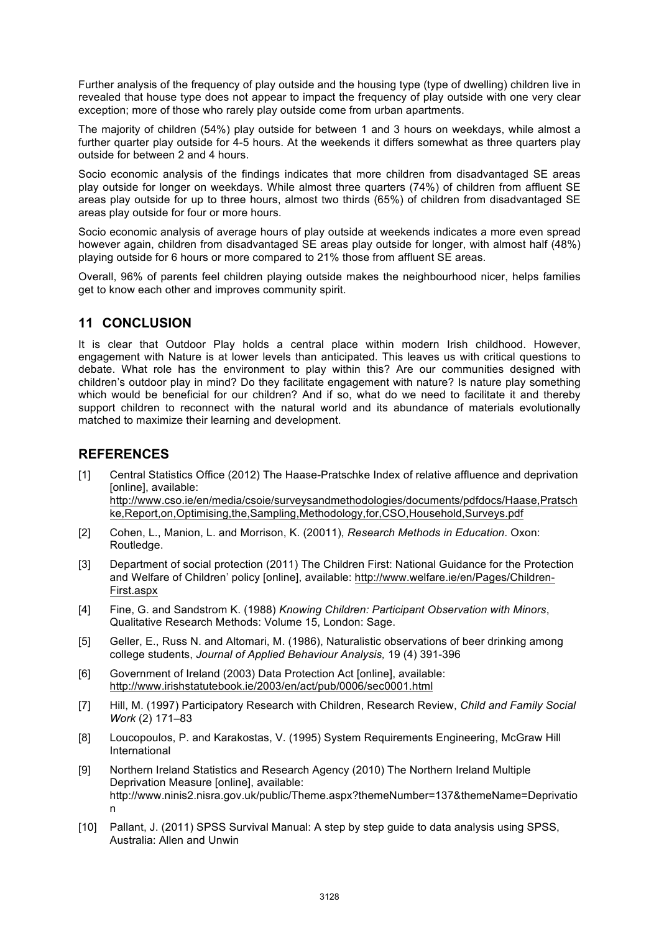Further analysis of the frequency of play outside and the housing type (type of dwelling) children live in revealed that house type does not appear to impact the frequency of play outside with one very clear exception; more of those who rarely play outside come from urban apartments.

The majority of children (54%) play outside for between 1 and 3 hours on weekdays, while almost a further quarter play outside for 4-5 hours. At the weekends it differs somewhat as three quarters play outside for between 2 and 4 hours.

Socio economic analysis of the findings indicates that more children from disadvantaged SE areas play outside for longer on weekdays. While almost three quarters (74%) of children from affluent SE areas play outside for up to three hours, almost two thirds (65%) of children from disadvantaged SE areas play outside for four or more hours.

Socio economic analysis of average hours of play outside at weekends indicates a more even spread however again, children from disadvantaged SE areas play outside for longer, with almost half (48%) playing outside for 6 hours or more compared to 21% those from affluent SE areas.

Overall, 96% of parents feel children playing outside makes the neighbourhood nicer, helps families get to know each other and improves community spirit.

#### **11 CONCLUSION**

It is clear that Outdoor Play holds a central place within modern Irish childhood. However, engagement with Nature is at lower levels than anticipated. This leaves us with critical questions to debate. What role has the environment to play within this? Are our communities designed with children's outdoor play in mind? Do they facilitate engagement with nature? Is nature play something which would be beneficial for our children? And if so, what do we need to facilitate it and thereby support children to reconnect with the natural world and its abundance of materials evolutionally matched to maximize their learning and development.

#### **REFERENCES**

- [1] Central Statistics Office (2012) The Haase-Pratschke Index of relative affluence and deprivation [online], available: http://www.cso.ie/en/media/csoie/surveysandmethodologies/documents/pdfdocs/Haase,Pratsch ke,Report,on,Optimising,the,Sampling,Methodology,for,CSO,Household,Surveys.pdf
- [2] Cohen, L., Manion, L. and Morrison, K. (20011), *Research Methods in Education*. Oxon: Routledge.
- [3] Department of social protection (2011) The Children First: National Guidance for the Protection and Welfare of Children' policy [online], available: http://www.welfare.ie/en/Pages/Children-First.aspx
- [4] Fine, G. and Sandstrom K. (1988) *Knowing Children: Participant Observation with Minors*, Qualitative Research Methods: Volume 15, London: Sage.
- [5] Geller, E., Russ N. and Altomari, M. (1986), Naturalistic observations of beer drinking among college students, *Journal of Applied Behaviour Analysis,* 19 (4) 391-396
- [6] Government of Ireland (2003) Data Protection Act [online], available: http://www.irishstatutebook.ie/2003/en/act/pub/0006/sec0001.html
- [7] Hill, M. (1997) Participatory Research with Children, Research Review, *Child and Family Social Work* (2) 171–83
- [8] Loucopoulos, P. and Karakostas, V. (1995) System Requirements Engineering, McGraw Hill International
- [9] Northern Ireland Statistics and Research Agency (2010) The Northern Ireland Multiple Deprivation Measure [online], available: http://www.ninis2.nisra.gov.uk/public/Theme.aspx?themeNumber=137&themeName=Deprivatio n
- [10] Pallant, J. (2011) SPSS Survival Manual: A step by step guide to data analysis using SPSS, Australia: Allen and Unwin